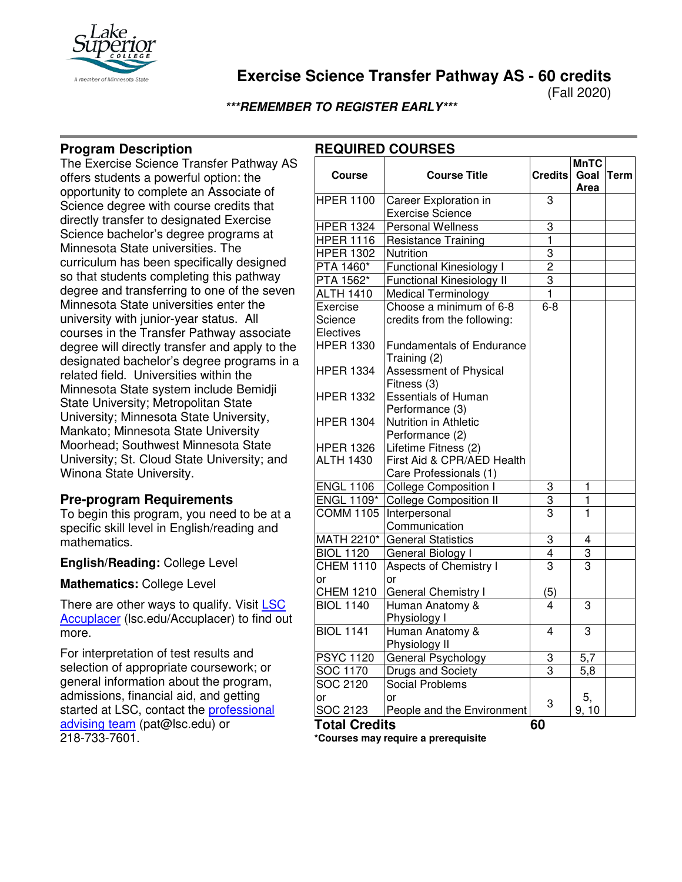

# **Exercise Science Transfer Pathway AS - 60 credits**

(Fall 2020)

**MnTC** 

**\*\*\*REMEMBER TO REGISTER EARLY\*\*\***

## **Program Description**

The Exercise Science Transfer Pathway AS offers students a powerful option: the opportunity to complete an Associate of Science degree with course credits that directly transfer to designated Exercise Science bachelor's degree programs at Minnesota State universities. The curriculum has been specifically designed so that students completing this pathway degree and transferring to one of the seven Minnesota State universities enter the university with junior-year status. All courses in the Transfer Pathway associate degree will directly transfer and apply to the designated bachelor's degree programs in a related field. Universities within the Minnesota State system include Bemidji State University; Metropolitan State University; Minnesota State University, Mankato; Minnesota State University Moorhead; Southwest Minnesota State University; St. Cloud State University; and Winona State University.

### **Pre-program Requirements**

To begin this program, you need to be at a specific skill level in English/reading and mathematics.

**English/Reading:** College Level

**Mathematics:** College Level

There are other ways to qualify. Visit LSC [Accuplacer](https://www.lsc.edu/accuplacer/) (Isc.edu/Accuplacer) to find out more.

For interpretation of test results and selection of appropriate coursework; or general information about the program, admissions, financial aid, and getting started at LSC, contact the [professional](mailto:pat@lsc.edu)  [advising team](mailto:pat@lsc.edu) (pat@lsc.edu) or 218-733-7601.

| <b>Course</b>                        | <b>Course Title</b>                                          | <b>Credits</b>          | Goal<br>Area   | <b>Term</b> |
|--------------------------------------|--------------------------------------------------------------|-------------------------|----------------|-------------|
| <b>HPER 1100</b>                     | Career Exploration in                                        | 3                       |                |             |
|                                      | <b>Exercise Science</b>                                      |                         |                |             |
| <b>HPER 1324</b>                     | Personal Wellness                                            | 3                       |                |             |
| <b>HPER 1116</b>                     | Resistance Training                                          | $\overline{1}$          |                |             |
| <b>HPER 1302</b>                     | <b>Nutrition</b>                                             | $\overline{3}$          |                |             |
| PTA 1460*                            | Functional Kinesiology I                                     | $\overline{2}$          |                |             |
| PTA 1562*                            | <b>Functional Kinesiology II</b>                             | 3                       |                |             |
| <b>ALTH 1410</b>                     | <b>Medical Terminology</b>                                   | $\mathbf{1}$            |                |             |
| Exercise                             | Choose a minimum of 6-8                                      | $6 - 8$                 |                |             |
| Science                              | credits from the following:                                  |                         |                |             |
| Electives                            |                                                              |                         |                |             |
| <b>HPER 1330</b>                     | <b>Fundamentals of Endurance</b>                             |                         |                |             |
| <b>HPER 1334</b>                     | Training (2)<br><b>Assessment of Physical</b><br>Fitness (3) |                         |                |             |
| <b>HPER 1332</b>                     | <b>Essentials of Human</b>                                   |                         |                |             |
| <b>HPER 1304</b>                     | Performance (3)<br>Nutrition in Athletic<br>Performance (2)  |                         |                |             |
| <b>HPER 1326</b><br><b>ALTH 1430</b> | Lifetime Fitness (2)<br>First Aid & CPR/AED Health           |                         |                |             |
|                                      | Care Professionals (1)                                       |                         |                |             |
| <b>ENGL 1106</b>                     | <b>College Composition I</b>                                 | 3                       | 1              |             |
| <b>ENGL 1109*</b>                    | <b>College Composition II</b>                                | $\overline{3}$          | 1              |             |
| <b>COMM 1105</b>                     | Interpersonal<br>Communication                               | 3                       | $\overline{1}$ |             |
| MATH 2210*                           | <b>General Statistics</b>                                    | 3                       | 4              |             |
| <b>BIOL 1120</b>                     | General Biology I                                            | $\overline{\mathbf{4}}$ | $\overline{3}$ |             |
| <b>CHEM 1110</b><br>or               | Aspects of Chemistry I<br>or                                 | 3                       | $\overline{3}$ |             |
| <b>CHEM 1210</b>                     | General Chemistry I                                          | (5)                     |                |             |
| <b>BIOL 1140</b>                     | Human Anatomy &<br>Physiology I                              | 4                       | $\overline{3}$ |             |
| <b>BIOL 1141</b>                     | Human Anatomy &<br>Physiology II                             | $\overline{4}$          | 3              |             |
| <b>PSYC 1120</b>                     | General Psychology                                           | 3                       | 5,7            |             |
| SOC 1170                             | Drugs and Society                                            | $\overline{3}$          | 5,8            |             |
| SOC 2120                             | Social Problems                                              |                         |                |             |
| or<br>SOC 2123                       | or<br>People and the Environment                             | 3                       | 5,<br>9, 10    |             |

## **REQUIRED COURSES**

**\*Courses may require a prerequisite** 

**Total Credits 60**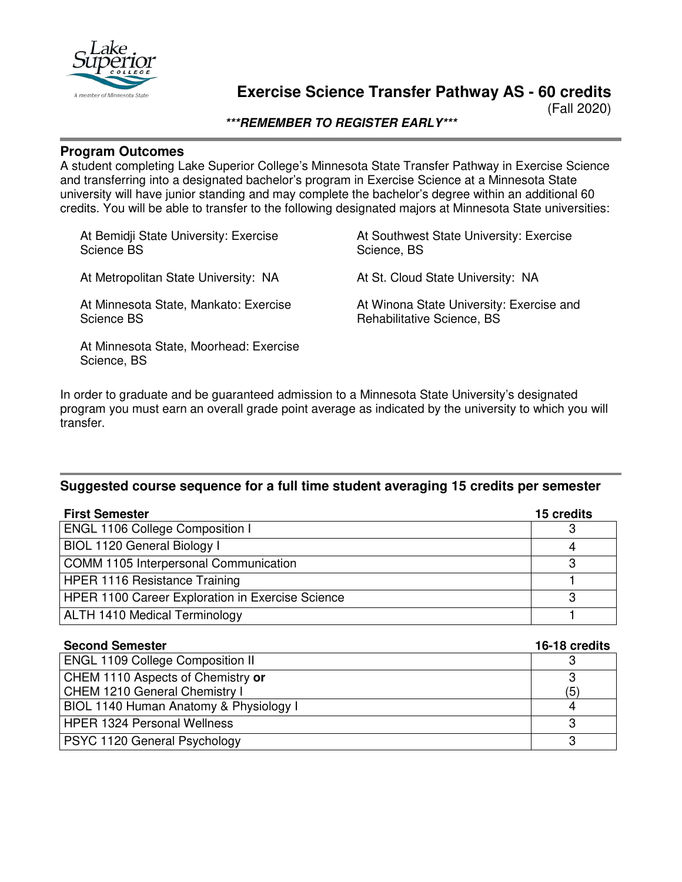

# **Exercise Science Transfer Pathway AS - 60 credits**

(Fall 2020)

**\*\*\*REMEMBER TO REGISTER EARLY\*\*\***

### **Program Outcomes**

A student completing Lake Superior College's Minnesota State Transfer Pathway in Exercise Science and transferring into a designated bachelor's program in Exercise Science at a Minnesota State university will have junior standing and may complete the bachelor's degree within an additional 60 credits. You will be able to transfer to the following designated majors at Minnesota State universities:

At Bemidji State University: Exercise Science BS

At Metropolitan State University: NA

At Minnesota State, Mankato: Exercise Science BS

At Minnesota State, Moorhead: Exercise Science, BS

At Southwest State University: Exercise Science, BS

At St. Cloud State University: NA

At Winona State University: Exercise and Rehabilitative Science, BS

In order to graduate and be guaranteed admission to a Minnesota State University's designated program you must earn an overall grade point average as indicated by the university to which you will transfer.

#### **Suggested course sequence for a full time student averaging 15 credits per semester**

| <b>First Semester</b>                            |   |  |
|--------------------------------------------------|---|--|
| ENGL 1106 College Composition I                  |   |  |
| BIOL 1120 General Biology I                      | 4 |  |
| COMM 1105 Interpersonal Communication            |   |  |
| <b>HPER 1116 Resistance Training</b>             |   |  |
| HPER 1100 Career Exploration in Exercise Science |   |  |
| <b>ALTH 1410 Medical Terminology</b>             |   |  |

| <b>Second Semester</b>                                             | 16-18 credits |
|--------------------------------------------------------------------|---------------|
| <b>ENGL 1109 College Composition II</b>                            | З             |
| CHEM 1110 Aspects of Chemistry or<br>CHEM 1210 General Chemistry I | З<br>(5)      |
| BIOL 1140 Human Anatomy & Physiology I                             | 4             |
| <b>HPER 1324 Personal Wellness</b>                                 | 3             |
| PSYC 1120 General Psychology                                       | 3             |